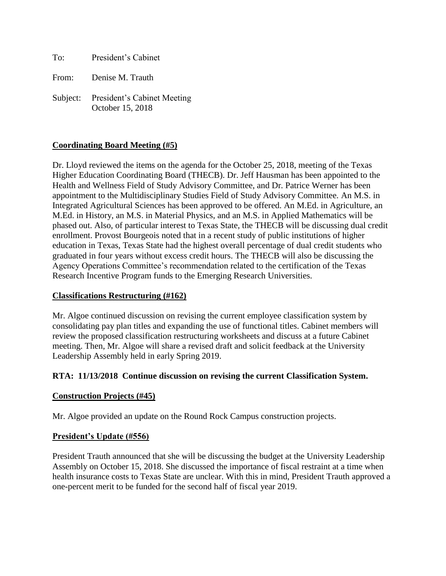To: President's Cabinet From: Denise M. Trauth Subject: President's Cabinet Meeting October 15, 2018

# **Coordinating Board Meeting (#5)**

Dr. Lloyd reviewed the items on the agenda for the October 25, 2018, meeting of the Texas Higher Education Coordinating Board (THECB). Dr. Jeff Hausman has been appointed to the Health and Wellness Field of Study Advisory Committee, and Dr. Patrice Werner has been appointment to the Multidisciplinary Studies Field of Study Advisory Committee. An M.S. in Integrated Agricultural Sciences has been approved to be offered. An M.Ed. in Agriculture, an M.Ed. in History, an M.S. in Material Physics, and an M.S. in Applied Mathematics will be phased out. Also, of particular interest to Texas State, the THECB will be discussing dual credit enrollment. Provost Bourgeois noted that in a recent study of public institutions of higher education in Texas, Texas State had the highest overall percentage of dual credit students who graduated in four years without excess credit hours. The THECB will also be discussing the Agency Operations Committee's recommendation related to the certification of the Texas Research Incentive Program funds to the Emerging Research Universities.

# **Classifications Restructuring (#162)**

Mr. Algoe continued discussion on revising the current employee classification system by consolidating pay plan titles and expanding the use of functional titles. Cabinet members will review the proposed classification restructuring worksheets and discuss at a future Cabinet meeting. Then, Mr. Algoe will share a revised draft and solicit feedback at the University Leadership Assembly held in early Spring 2019.

# **RTA: 11/13/2018 Continue discussion on revising the current Classification System.**

# **Construction Projects (#45)**

Mr. Algoe provided an update on the Round Rock Campus construction projects.

# **President's Update (#556)**

President Trauth announced that she will be discussing the budget at the University Leadership Assembly on October 15, 2018. She discussed the importance of fiscal restraint at a time when health insurance costs to Texas State are unclear. With this in mind, President Trauth approved a one-percent merit to be funded for the second half of fiscal year 2019.